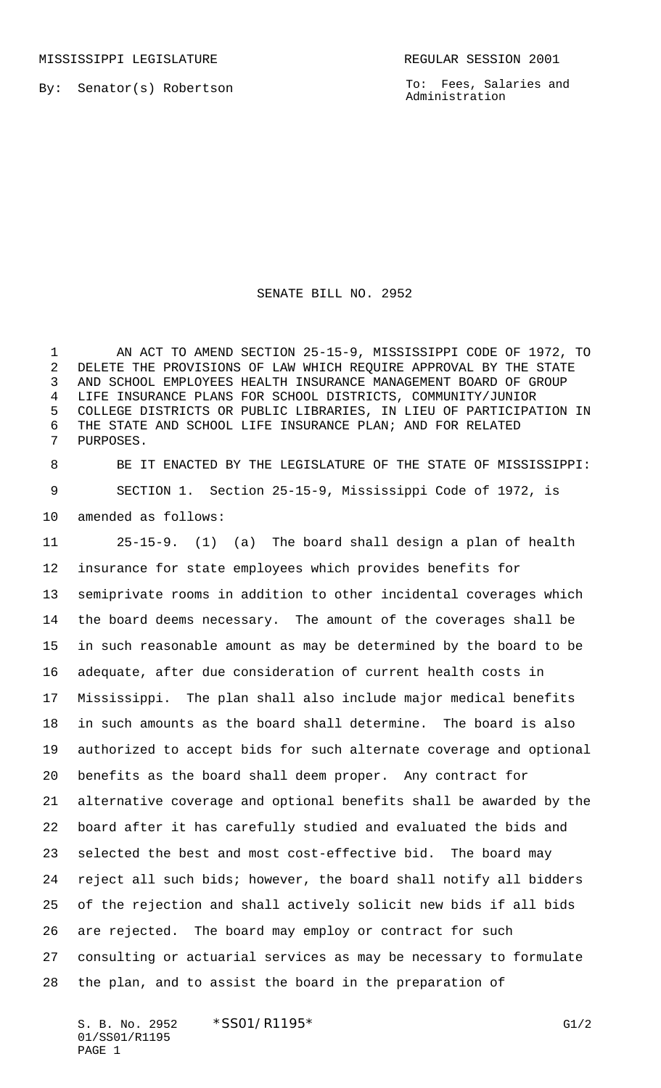MISSISSIPPI LEGISLATURE **REGULAR SESSION 2001** 

By: Senator(s) Robertson

To: Fees, Salaries and Administration

## SENATE BILL NO. 2952

 AN ACT TO AMEND SECTION 25-15-9, MISSISSIPPI CODE OF 1972, TO DELETE THE PROVISIONS OF LAW WHICH REQUIRE APPROVAL BY THE STATE AND SCHOOL EMPLOYEES HEALTH INSURANCE MANAGEMENT BOARD OF GROUP LIFE INSURANCE PLANS FOR SCHOOL DISTRICTS, COMMUNITY/JUNIOR COLLEGE DISTRICTS OR PUBLIC LIBRARIES, IN LIEU OF PARTICIPATION IN THE STATE AND SCHOOL LIFE INSURANCE PLAN; AND FOR RELATED PURPOSES.

 BE IT ENACTED BY THE LEGISLATURE OF THE STATE OF MISSISSIPPI: SECTION 1. Section 25-15-9, Mississippi Code of 1972, is amended as follows:

 25-15-9. (1) (a) The board shall design a plan of health insurance for state employees which provides benefits for semiprivate rooms in addition to other incidental coverages which the board deems necessary. The amount of the coverages shall be in such reasonable amount as may be determined by the board to be adequate, after due consideration of current health costs in Mississippi. The plan shall also include major medical benefits in such amounts as the board shall determine. The board is also authorized to accept bids for such alternate coverage and optional benefits as the board shall deem proper. Any contract for alternative coverage and optional benefits shall be awarded by the board after it has carefully studied and evaluated the bids and selected the best and most cost-effective bid. The board may reject all such bids; however, the board shall notify all bidders of the rejection and shall actively solicit new bids if all bids are rejected. The board may employ or contract for such consulting or actuarial services as may be necessary to formulate the plan, and to assist the board in the preparation of

S. B. No. 2952 \* SS01/R1195\* G1/2 01/SS01/R1195 PAGE 1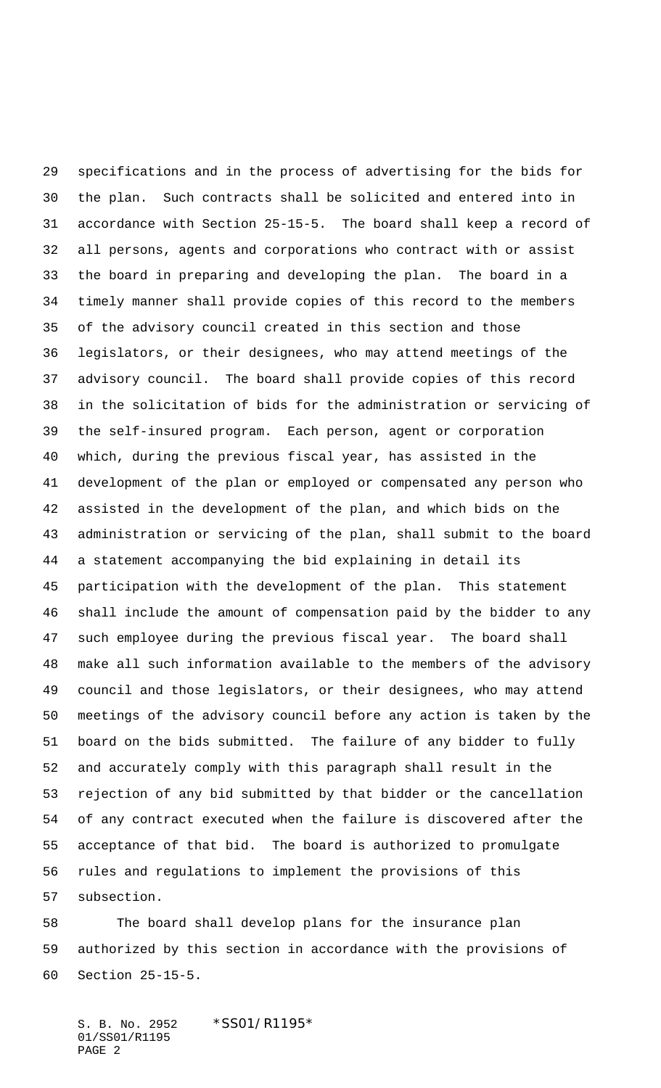specifications and in the process of advertising for the bids for the plan. Such contracts shall be solicited and entered into in accordance with Section 25-15-5. The board shall keep a record of all persons, agents and corporations who contract with or assist the board in preparing and developing the plan. The board in a timely manner shall provide copies of this record to the members of the advisory council created in this section and those legislators, or their designees, who may attend meetings of the advisory council. The board shall provide copies of this record in the solicitation of bids for the administration or servicing of the self-insured program. Each person, agent or corporation which, during the previous fiscal year, has assisted in the development of the plan or employed or compensated any person who assisted in the development of the plan, and which bids on the administration or servicing of the plan, shall submit to the board a statement accompanying the bid explaining in detail its participation with the development of the plan. This statement shall include the amount of compensation paid by the bidder to any such employee during the previous fiscal year. The board shall make all such information available to the members of the advisory council and those legislators, or their designees, who may attend meetings of the advisory council before any action is taken by the board on the bids submitted. The failure of any bidder to fully and accurately comply with this paragraph shall result in the rejection of any bid submitted by that bidder or the cancellation of any contract executed when the failure is discovered after the acceptance of that bid. The board is authorized to promulgate rules and regulations to implement the provisions of this subsection.

 The board shall develop plans for the insurance plan authorized by this section in accordance with the provisions of Section 25-15-5.

S. B. No. 2952 \*SS01/R1195\* 01/SS01/R1195 PAGE 2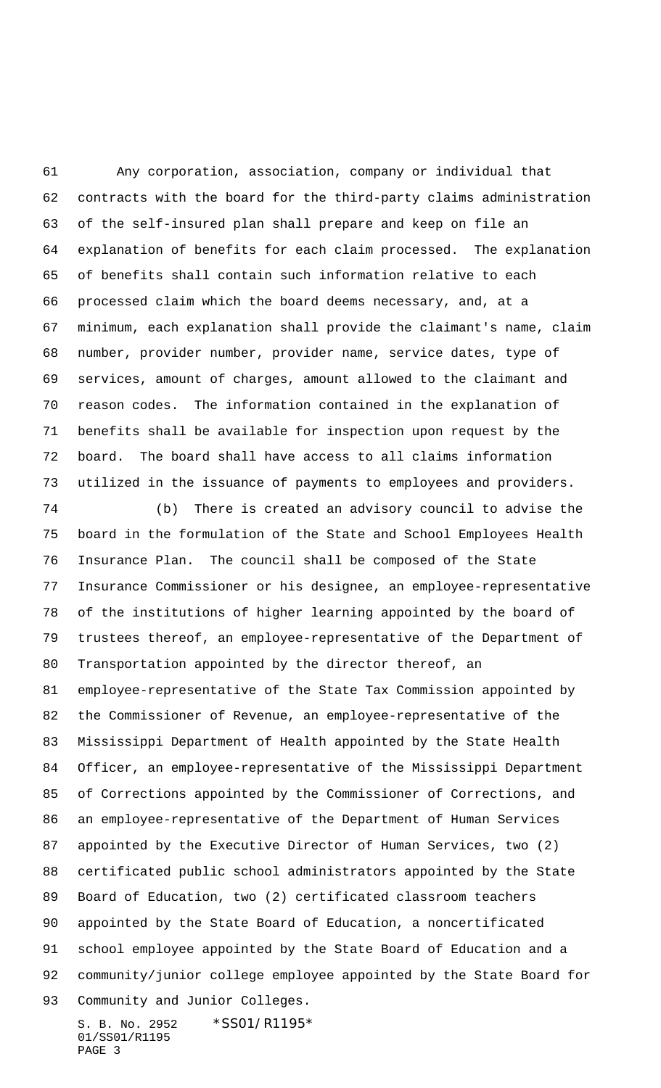Any corporation, association, company or individual that contracts with the board for the third-party claims administration of the self-insured plan shall prepare and keep on file an explanation of benefits for each claim processed. The explanation of benefits shall contain such information relative to each processed claim which the board deems necessary, and, at a minimum, each explanation shall provide the claimant's name, claim number, provider number, provider name, service dates, type of services, amount of charges, amount allowed to the claimant and reason codes. The information contained in the explanation of benefits shall be available for inspection upon request by the board. The board shall have access to all claims information utilized in the issuance of payments to employees and providers.

 (b) There is created an advisory council to advise the board in the formulation of the State and School Employees Health Insurance Plan. The council shall be composed of the State Insurance Commissioner or his designee, an employee-representative of the institutions of higher learning appointed by the board of trustees thereof, an employee-representative of the Department of Transportation appointed by the director thereof, an employee-representative of the State Tax Commission appointed by the Commissioner of Revenue, an employee-representative of the Mississippi Department of Health appointed by the State Health Officer, an employee-representative of the Mississippi Department of Corrections appointed by the Commissioner of Corrections, and an employee-representative of the Department of Human Services appointed by the Executive Director of Human Services, two (2) certificated public school administrators appointed by the State Board of Education, two (2) certificated classroom teachers appointed by the State Board of Education, a noncertificated school employee appointed by the State Board of Education and a community/junior college employee appointed by the State Board for Community and Junior Colleges.

S. B. No. 2952 \* SS01/R1195\* 01/SS01/R1195 PAGE 3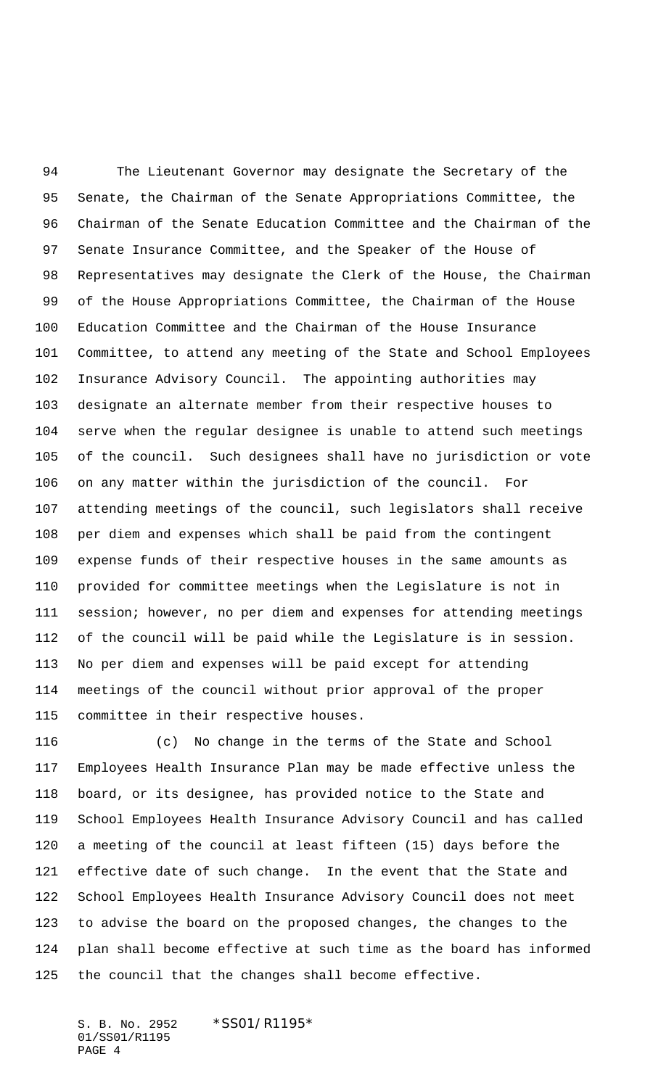The Lieutenant Governor may designate the Secretary of the Senate, the Chairman of the Senate Appropriations Committee, the Chairman of the Senate Education Committee and the Chairman of the Senate Insurance Committee, and the Speaker of the House of Representatives may designate the Clerk of the House, the Chairman of the House Appropriations Committee, the Chairman of the House Education Committee and the Chairman of the House Insurance Committee, to attend any meeting of the State and School Employees Insurance Advisory Council. The appointing authorities may designate an alternate member from their respective houses to serve when the regular designee is unable to attend such meetings of the council. Such designees shall have no jurisdiction or vote on any matter within the jurisdiction of the council. For attending meetings of the council, such legislators shall receive per diem and expenses which shall be paid from the contingent expense funds of their respective houses in the same amounts as provided for committee meetings when the Legislature is not in session; however, no per diem and expenses for attending meetings of the council will be paid while the Legislature is in session. No per diem and expenses will be paid except for attending meetings of the council without prior approval of the proper committee in their respective houses.

 (c) No change in the terms of the State and School Employees Health Insurance Plan may be made effective unless the board, or its designee, has provided notice to the State and School Employees Health Insurance Advisory Council and has called a meeting of the council at least fifteen (15) days before the effective date of such change. In the event that the State and School Employees Health Insurance Advisory Council does not meet to advise the board on the proposed changes, the changes to the plan shall become effective at such time as the board has informed the council that the changes shall become effective.

S. B. No. 2952 \*SS01/R1195\* 01/SS01/R1195 PAGE 4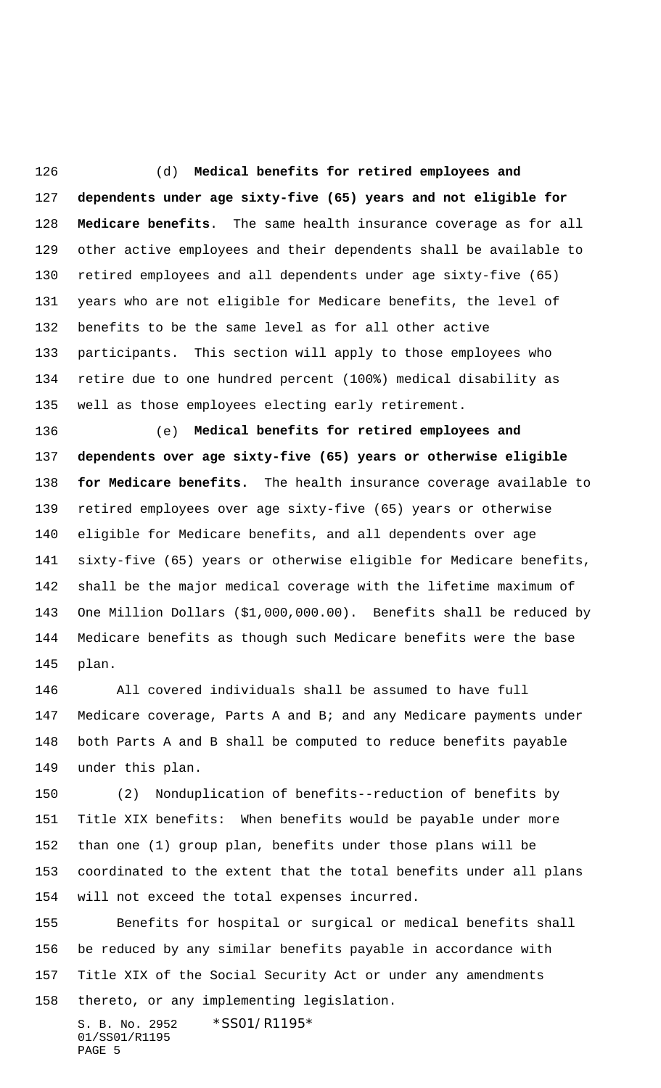(d) **Medical benefits for retired employees and dependents under age sixty-five (65) years and not eligible for Medicare benefits**. The same health insurance coverage as for all other active employees and their dependents shall be available to retired employees and all dependents under age sixty-five (65) years who are not eligible for Medicare benefits, the level of benefits to be the same level as for all other active participants. This section will apply to those employees who retire due to one hundred percent (100%) medical disability as well as those employees electing early retirement.

 (e) **Medical benefits for retired employees and dependents over age sixty-five (65) years or otherwise eligible for Medicare benefits.** The health insurance coverage available to retired employees over age sixty-five (65) years or otherwise eligible for Medicare benefits, and all dependents over age sixty-five (65) years or otherwise eligible for Medicare benefits, shall be the major medical coverage with the lifetime maximum of One Million Dollars (\$1,000,000.00). Benefits shall be reduced by Medicare benefits as though such Medicare benefits were the base plan.

 All covered individuals shall be assumed to have full Medicare coverage, Parts A and B; and any Medicare payments under both Parts A and B shall be computed to reduce benefits payable under this plan.

 (2) Nonduplication of benefits--reduction of benefits by Title XIX benefits: When benefits would be payable under more than one (1) group plan, benefits under those plans will be coordinated to the extent that the total benefits under all plans will not exceed the total expenses incurred.

 Benefits for hospital or surgical or medical benefits shall be reduced by any similar benefits payable in accordance with Title XIX of the Social Security Act or under any amendments thereto, or any implementing legislation.

S. B. No. 2952 \*SS01/R1195\* 01/SS01/R1195 PAGE 5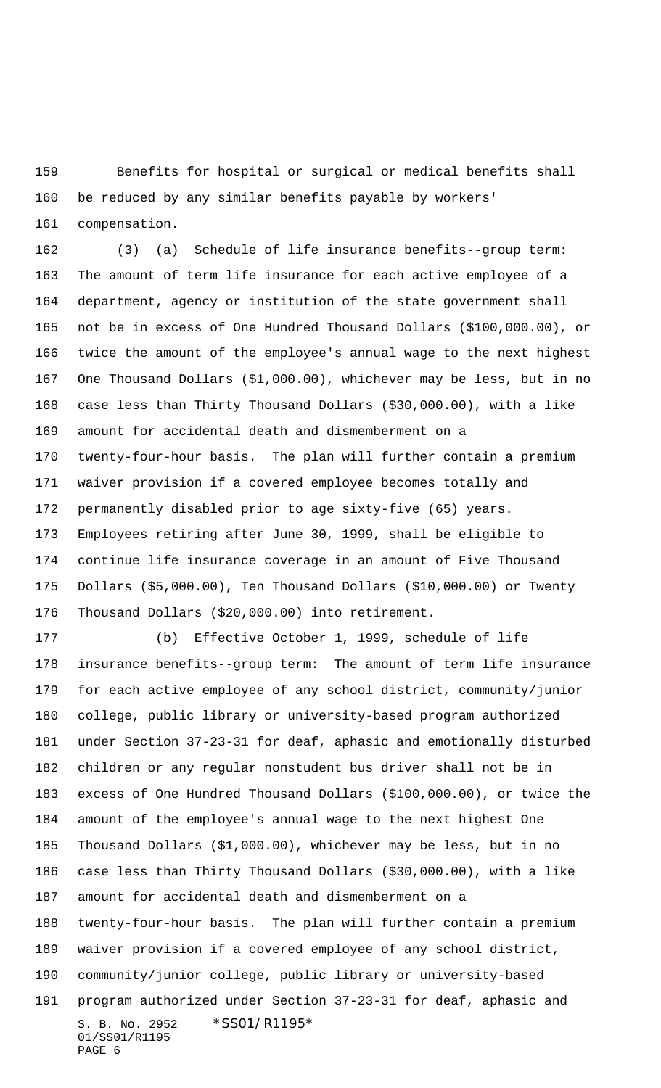Benefits for hospital or surgical or medical benefits shall be reduced by any similar benefits payable by workers'

compensation.

 (3) (a) Schedule of life insurance benefits--group term: The amount of term life insurance for each active employee of a department, agency or institution of the state government shall not be in excess of One Hundred Thousand Dollars (\$100,000.00), or twice the amount of the employee's annual wage to the next highest One Thousand Dollars (\$1,000.00), whichever may be less, but in no case less than Thirty Thousand Dollars (\$30,000.00), with a like amount for accidental death and dismemberment on a twenty-four-hour basis. The plan will further contain a premium waiver provision if a covered employee becomes totally and permanently disabled prior to age sixty-five (65) years. Employees retiring after June 30, 1999, shall be eligible to continue life insurance coverage in an amount of Five Thousand Dollars (\$5,000.00), Ten Thousand Dollars (\$10,000.00) or Twenty Thousand Dollars (\$20,000.00) into retirement.

S. B. No. 2952 \* SS01/R1195\* 01/SS01/R1195 PAGE 6 (b) Effective October 1, 1999, schedule of life insurance benefits--group term: The amount of term life insurance for each active employee of any school district, community/junior college, public library or university-based program authorized under Section 37-23-31 for deaf, aphasic and emotionally disturbed children or any regular nonstudent bus driver shall not be in excess of One Hundred Thousand Dollars (\$100,000.00), or twice the amount of the employee's annual wage to the next highest One Thousand Dollars (\$1,000.00), whichever may be less, but in no case less than Thirty Thousand Dollars (\$30,000.00), with a like amount for accidental death and dismemberment on a twenty-four-hour basis. The plan will further contain a premium waiver provision if a covered employee of any school district, community/junior college, public library or university-based program authorized under Section 37-23-31 for deaf, aphasic and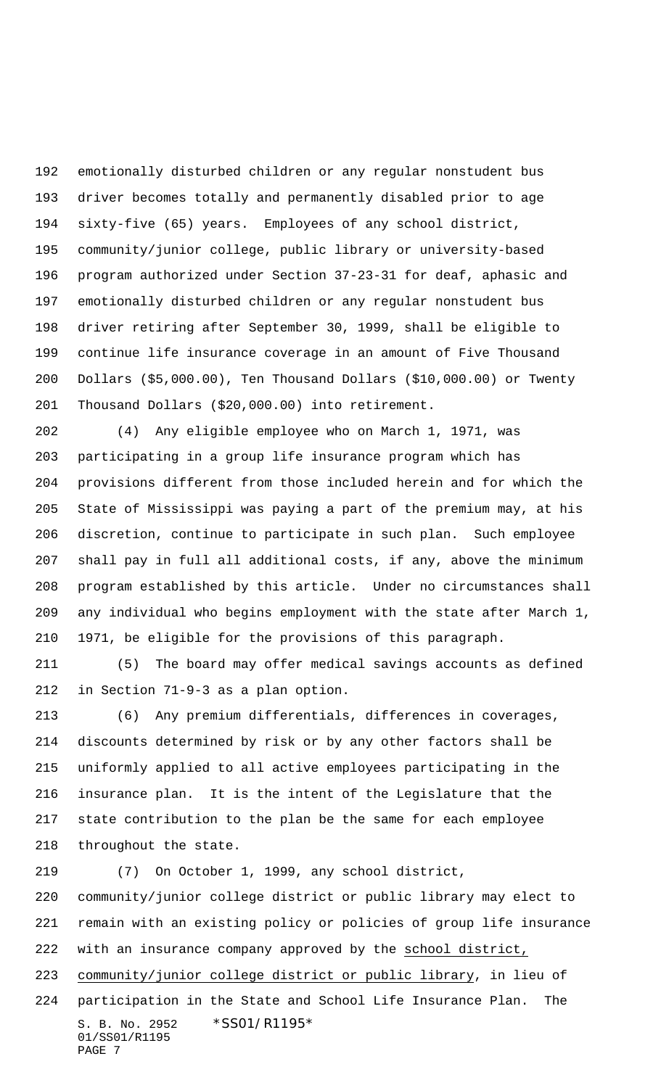emotionally disturbed children or any regular nonstudent bus driver becomes totally and permanently disabled prior to age sixty-five (65) years. Employees of any school district, community/junior college, public library or university-based program authorized under Section 37-23-31 for deaf, aphasic and emotionally disturbed children or any regular nonstudent bus driver retiring after September 30, 1999, shall be eligible to continue life insurance coverage in an amount of Five Thousand Dollars (\$5,000.00), Ten Thousand Dollars (\$10,000.00) or Twenty Thousand Dollars (\$20,000.00) into retirement.

 (4) Any eligible employee who on March 1, 1971, was participating in a group life insurance program which has provisions different from those included herein and for which the State of Mississippi was paying a part of the premium may, at his discretion, continue to participate in such plan. Such employee shall pay in full all additional costs, if any, above the minimum program established by this article. Under no circumstances shall any individual who begins employment with the state after March 1, 1971, be eligible for the provisions of this paragraph.

 (5) The board may offer medical savings accounts as defined in Section 71-9-3 as a plan option.

 (6) Any premium differentials, differences in coverages, discounts determined by risk or by any other factors shall be uniformly applied to all active employees participating in the insurance plan. It is the intent of the Legislature that the state contribution to the plan be the same for each employee throughout the state.

S. B. No. 2952 \*SS01/R1195\* 01/SS01/R1195 PAGE 7 (7) On October 1, 1999, any school district, community/junior college district or public library may elect to remain with an existing policy or policies of group life insurance with an insurance company approved by the school district, community/junior college district or public library, in lieu of participation in the State and School Life Insurance Plan. The